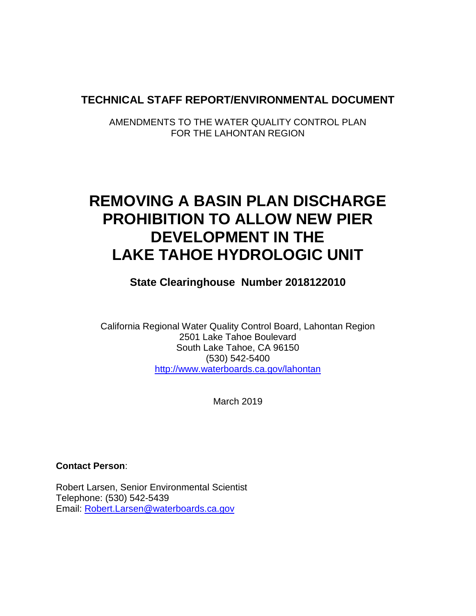## **TECHNICAL STAFF REPORT/ENVIRONMENTAL DOCUMENT**

AMENDMENTS TO THE WATER QUALITY CONTROL PLAN FOR THE LAHONTAN REGION

# **REMOVING A BASIN PLAN DISCHARGE PROHIBITION TO ALLOW NEW PIER DEVELOPMENT IN THE LAKE TAHOE HYDROLOGIC UNIT**

**State Clearinghouse Number 2018122010**

California Regional Water Quality Control Board, Lahontan Region 2501 Lake Tahoe Boulevard South Lake Tahoe, CA 96150 (530) 542-5400 <http://www.waterboards.ca.gov/lahontan>

March 2019

**Contact Person**:

Robert Larsen, Senior Environmental Scientist Telephone: (530) 542-5439 Email: [Robert.Larsen@waterboards.ca.gov](mailto:Robert.Larsen@waterboards.ca.gov)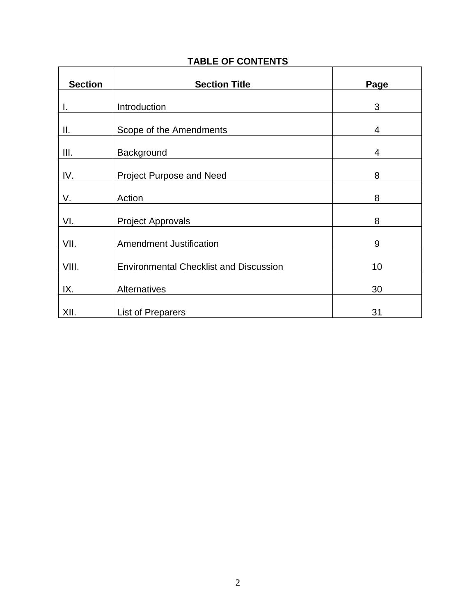| <b>Section</b> | <b>Section Title</b>                          | Page |
|----------------|-----------------------------------------------|------|
| Ι.             | Introduction                                  | 3    |
| Ш.             | Scope of the Amendments                       | 4    |
| III.           | Background                                    | 4    |
| IV.            | Project Purpose and Need                      | 8    |
| V.             | Action                                        | 8    |
| VI.            | <b>Project Approvals</b>                      | 8    |
| VII.           | <b>Amendment Justification</b>                | 9    |
| VIII.          | <b>Environmental Checklist and Discussion</b> | 10   |
| IX.            | Alternatives                                  | 30   |
| XII.           | <b>List of Preparers</b>                      | 31   |

### **TABLE OF CONTENTS**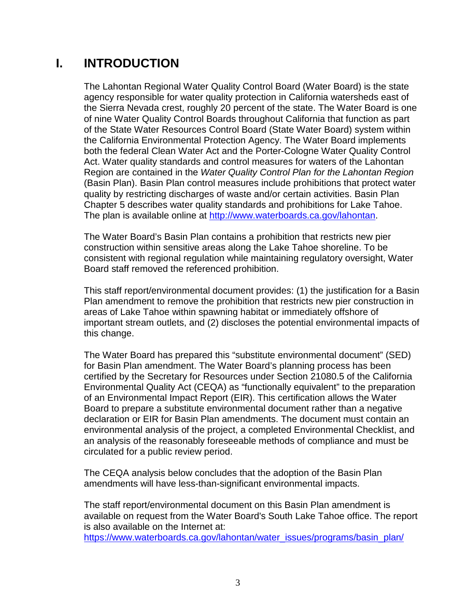## **I. INTRODUCTION**

The Lahontan Regional Water Quality Control Board (Water Board) is the state agency responsible for water quality protection in California watersheds east of the Sierra Nevada crest, roughly 20 percent of the state. The Water Board is one of nine Water Quality Control Boards throughout California that function as part of the State Water Resources Control Board (State Water Board) system within the California Environmental Protection Agency. The Water Board implements both the federal Clean Water Act and the Porter-Cologne Water Quality Control Act. Water quality standards and control measures for waters of the Lahontan Region are contained in the *Water Quality Control Plan for the Lahontan Region* (Basin Plan). Basin Plan control measures include prohibitions that protect water quality by restricting discharges of waste and/or certain activities. Basin Plan Chapter 5 describes water quality standards and prohibitions for Lake Tahoe. The plan is available online at [http://www.waterboards.ca.gov/lahontan.](http://www.waterboards.ca.gov/lahontan)

The Water Board's Basin Plan contains a prohibition that restricts new pier construction within sensitive areas along the Lake Tahoe shoreline. To be consistent with regional regulation while maintaining regulatory oversight, Water Board staff removed the referenced prohibition.

This staff report/environmental document provides: (1) the justification for a Basin Plan amendment to remove the prohibition that restricts new pier construction in areas of Lake Tahoe within spawning habitat or immediately offshore of important stream outlets, and (2) discloses the potential environmental impacts of this change.

The Water Board has prepared this "substitute environmental document" (SED) for Basin Plan amendment. The Water Board's planning process has been certified by the Secretary for Resources under Section 21080.5 of the California Environmental Quality Act (CEQA) as "functionally equivalent" to the preparation of an Environmental Impact Report (EIR). This certification allows the Water Board to prepare a substitute environmental document rather than a negative declaration or EIR for Basin Plan amendments. The document must contain an environmental analysis of the project, a completed Environmental Checklist, and an analysis of the reasonably foreseeable methods of compliance and must be circulated for a public review period.

The CEQA analysis below concludes that the adoption of the Basin Plan amendments will have less-than-significant environmental impacts.

The staff report/environmental document on this Basin Plan amendment is available on request from the Water Board's South Lake Tahoe office. The report is also available on the Internet at:

[https://www.waterboards.ca.gov/lahontan/water\\_issues/programs/basin\\_plan/](https://www.waterboards.ca.gov/lahontan/water_issues/programs/basin_plan/)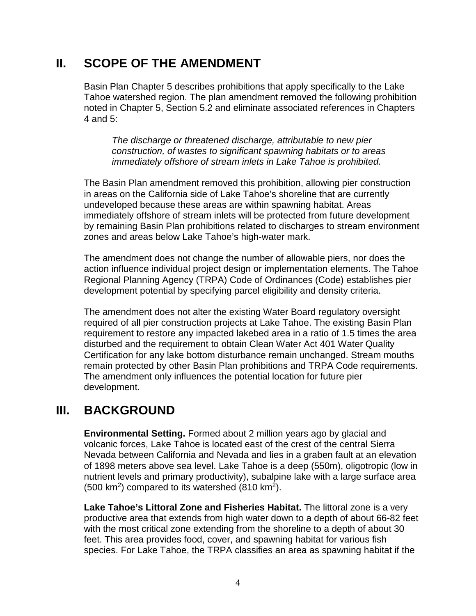## **II. SCOPE OF THE AMENDMENT**

Basin Plan Chapter 5 describes prohibitions that apply specifically to the Lake Tahoe watershed region. The plan amendment removed the following prohibition noted in Chapter 5, Section 5.2 and eliminate associated references in Chapters 4 and 5:

*The discharge or threatened discharge, attributable to new pier construction, of wastes to significant spawning habitats or to areas immediately offshore of stream inlets in Lake Tahoe is prohibited.*

The Basin Plan amendment removed this prohibition, allowing pier construction in areas on the California side of Lake Tahoe's shoreline that are currently undeveloped because these areas are within spawning habitat. Areas immediately offshore of stream inlets will be protected from future development by remaining Basin Plan prohibitions related to discharges to stream environment zones and areas below Lake Tahoe's high-water mark.

The amendment does not change the number of allowable piers, nor does the action influence individual project design or implementation elements. The Tahoe Regional Planning Agency (TRPA) Code of Ordinances (Code) establishes pier development potential by specifying parcel eligibility and density criteria.

The amendment does not alter the existing Water Board regulatory oversight required of all pier construction projects at Lake Tahoe. The existing Basin Plan requirement to restore any impacted lakebed area in a ratio of 1.5 times the area disturbed and the requirement to obtain Clean Water Act 401 Water Quality Certification for any lake bottom disturbance remain unchanged. Stream mouths remain protected by other Basin Plan prohibitions and TRPA Code requirements. The amendment only influences the potential location for future pier development.

## **III. BACKGROUND**

**Environmental Setting.** Formed about 2 million years ago by glacial and volcanic forces, Lake Tahoe is located east of the crest of the central Sierra Nevada between California and Nevada and lies in a graben fault at an elevation of 1898 meters above sea level. Lake Tahoe is a deep (550m), oligotropic (low in nutrient levels and primary productivity), subalpine lake with a large surface area  $(500 \text{ km}^2)$  compared to its watershed  $(810 \text{ km}^2)$ .

**Lake Tahoe's Littoral Zone and Fisheries Habitat.** The littoral zone is a very productive area that extends from high water down to a depth of about 66-82 feet with the most critical zone extending from the shoreline to a depth of about 30 feet. This area provides food, cover, and spawning habitat for various fish species. For Lake Tahoe, the TRPA classifies an area as spawning habitat if the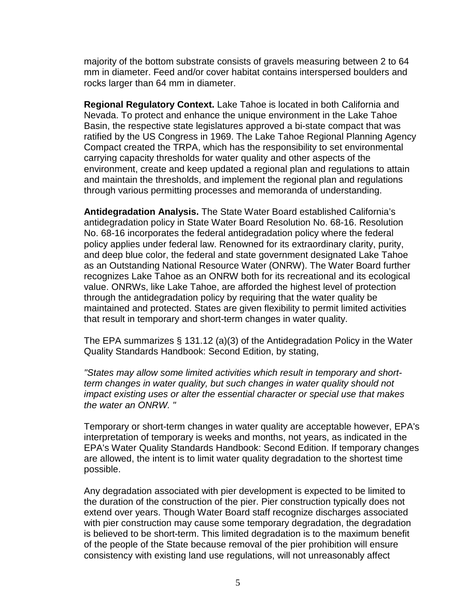majority of the bottom substrate consists of gravels measuring between 2 to 64 mm in diameter. Feed and/or cover habitat contains interspersed boulders and rocks larger than 64 mm in diameter.

**Regional Regulatory Context.** Lake Tahoe is located in both California and Nevada. To protect and enhance the unique environment in the Lake Tahoe Basin, the respective state legislatures approved a bi-state compact that was ratified by the US Congress in 1969. The Lake Tahoe Regional Planning Agency Compact created the TRPA, which has the responsibility to set environmental carrying capacity thresholds for water quality and other aspects of the environment, create and keep updated a regional plan and regulations to attain and maintain the thresholds, and implement the regional plan and regulations through various permitting processes and memoranda of understanding.

**Antidegradation Analysis.** The State Water Board established California's antidegradation policy in State Water Board Resolution No. 68-16. Resolution No. 68-16 incorporates the federal antidegradation policy where the federal policy applies under federal law. Renowned for its extraordinary clarity, purity, and deep blue color, the federal and state government designated Lake Tahoe as an Outstanding National Resource Water (ONRW). The Water Board further recognizes Lake Tahoe as an ONRW both for its recreational and its ecological value. ONRWs, like Lake Tahoe, are afforded the highest level of protection through the antidegradation policy by requiring that the water quality be maintained and protected. States are given flexibility to permit limited activities that result in temporary and short-term changes in water quality.

The EPA summarizes § 131.12 (a)(3) of the Antidegradation Policy in the Water Quality Standards Handbook: Second Edition, by stating,

*"States may allow some limited activities which result in temporary and shortterm changes in water quality, but such changes in water quality should not impact existing uses or alter the essential character or special use that makes the water an ONRW. "* 

Temporary or short-term changes in water quality are acceptable however, EPA's interpretation of temporary is weeks and months, not years, as indicated in the EPA's Water Quality Standards Handbook: Second Edition. If temporary changes are allowed, the intent is to limit water quality degradation to the shortest time possible.

Any degradation associated with pier development is expected to be limited to the duration of the construction of the pier. Pier construction typically does not extend over years. Though Water Board staff recognize discharges associated with pier construction may cause some temporary degradation, the degradation is believed to be short-term. This limited degradation is to the maximum benefit of the people of the State because removal of the pier prohibition will ensure consistency with existing land use regulations, will not unreasonably affect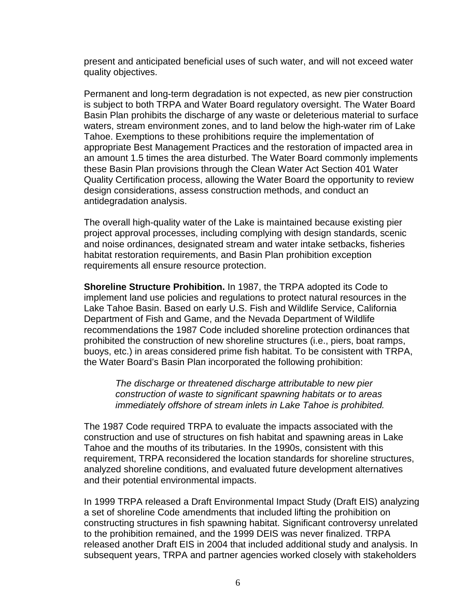present and anticipated beneficial uses of such water, and will not exceed water quality objectives.

Permanent and long-term degradation is not expected, as new pier construction is subject to both TRPA and Water Board regulatory oversight. The Water Board Basin Plan prohibits the discharge of any waste or deleterious material to surface waters, stream environment zones, and to land below the high-water rim of Lake Tahoe. Exemptions to these prohibitions require the implementation of appropriate Best Management Practices and the restoration of impacted area in an amount 1.5 times the area disturbed. The Water Board commonly implements these Basin Plan provisions through the Clean Water Act Section 401 Water Quality Certification process, allowing the Water Board the opportunity to review design considerations, assess construction methods, and conduct an antidegradation analysis.

The overall high-quality water of the Lake is maintained because existing pier project approval processes, including complying with design standards, scenic and noise ordinances, designated stream and water intake setbacks, fisheries habitat restoration requirements, and Basin Plan prohibition exception requirements all ensure resource protection.

**Shoreline Structure Prohibition.** In 1987, the TRPA adopted its Code to implement land use policies and regulations to protect natural resources in the Lake Tahoe Basin. Based on early U.S. Fish and Wildlife Service, California Department of Fish and Game, and the Nevada Department of Wildlife recommendations the 1987 Code included shoreline protection ordinances that prohibited the construction of new shoreline structures (i.e., piers, boat ramps, buoys, etc.) in areas considered prime fish habitat. To be consistent with TRPA, the Water Board's Basin Plan incorporated the following prohibition:

*The discharge or threatened discharge attributable to new pier construction of waste to significant spawning habitats or to areas immediately offshore of stream inlets in Lake Tahoe is prohibited.*

The 1987 Code required TRPA to evaluate the impacts associated with the construction and use of structures on fish habitat and spawning areas in Lake Tahoe and the mouths of its tributaries. In the 1990s, consistent with this requirement, TRPA reconsidered the location standards for shoreline structures, analyzed shoreline conditions, and evaluated future development alternatives and their potential environmental impacts.

In 1999 TRPA released a Draft Environmental Impact Study (Draft EIS) analyzing a set of shoreline Code amendments that included lifting the prohibition on constructing structures in fish spawning habitat. Significant controversy unrelated to the prohibition remained, and the 1999 DEIS was never finalized. TRPA released another Draft EIS in 2004 that included additional study and analysis. In subsequent years, TRPA and partner agencies worked closely with stakeholders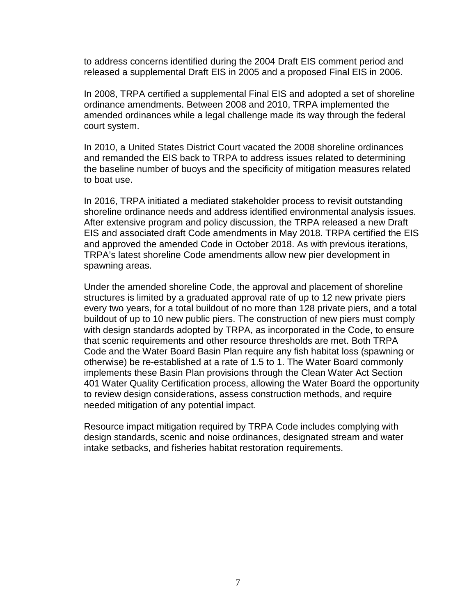to address concerns identified during the 2004 Draft EIS comment period and released a supplemental Draft EIS in 2005 and a proposed Final EIS in 2006.

In 2008, TRPA certified a supplemental Final EIS and adopted a set of shoreline ordinance amendments. Between 2008 and 2010, TRPA implemented the amended ordinances while a legal challenge made its way through the federal court system.

In 2010, a United States District Court vacated the 2008 shoreline ordinances and remanded the EIS back to TRPA to address issues related to determining the baseline number of buoys and the specificity of mitigation measures related to boat use.

In 2016, TRPA initiated a mediated stakeholder process to revisit outstanding shoreline ordinance needs and address identified environmental analysis issues. After extensive program and policy discussion, the TRPA released a new Draft EIS and associated draft Code amendments in May 2018. TRPA certified the EIS and approved the amended Code in October 2018. As with previous iterations, TRPA's latest shoreline Code amendments allow new pier development in spawning areas.

Under the amended shoreline Code, the approval and placement of shoreline structures is limited by a graduated approval rate of up to 12 new private piers every two years, for a total buildout of no more than 128 private piers, and a total buildout of up to 10 new public piers. The construction of new piers must comply with design standards adopted by TRPA, as incorporated in the Code, to ensure that scenic requirements and other resource thresholds are met. Both TRPA Code and the Water Board Basin Plan require any fish habitat loss (spawning or otherwise) be re-established at a rate of 1.5 to 1. The Water Board commonly implements these Basin Plan provisions through the Clean Water Act Section 401 Water Quality Certification process, allowing the Water Board the opportunity to review design considerations, assess construction methods, and require needed mitigation of any potential impact.

Resource impact mitigation required by TRPA Code includes complying with design standards, scenic and noise ordinances, designated stream and water intake setbacks, and fisheries habitat restoration requirements.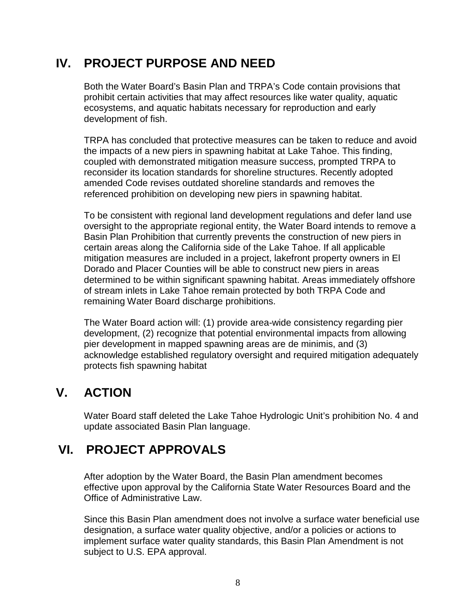## **IV. PROJECT PURPOSE AND NEED**

Both the Water Board's Basin Plan and TRPA's Code contain provisions that prohibit certain activities that may affect resources like water quality, aquatic ecosystems, and aquatic habitats necessary for reproduction and early development of fish.

TRPA has concluded that protective measures can be taken to reduce and avoid the impacts of a new piers in spawning habitat at Lake Tahoe. This finding, coupled with demonstrated mitigation measure success, prompted TRPA to reconsider its location standards for shoreline structures. Recently adopted amended Code revises outdated shoreline standards and removes the referenced prohibition on developing new piers in spawning habitat.

To be consistent with regional land development regulations and defer land use oversight to the appropriate regional entity, the Water Board intends to remove a Basin Plan Prohibition that currently prevents the construction of new piers in certain areas along the California side of the Lake Tahoe. If all applicable mitigation measures are included in a project, lakefront property owners in El Dorado and Placer Counties will be able to construct new piers in areas determined to be within significant spawning habitat. Areas immediately offshore of stream inlets in Lake Tahoe remain protected by both TRPA Code and remaining Water Board discharge prohibitions.

The Water Board action will: (1) provide area-wide consistency regarding pier development, (2) recognize that potential environmental impacts from allowing pier development in mapped spawning areas are de minimis, and (3) acknowledge established regulatory oversight and required mitigation adequately protects fish spawning habitat

## **V. ACTION**

Water Board staff deleted the Lake Tahoe Hydrologic Unit's prohibition No. 4 and update associated Basin Plan language.

## **VI. PROJECT APPROVALS**

After adoption by the Water Board, the Basin Plan amendment becomes effective upon approval by the California State Water Resources Board and the Office of Administrative Law.

Since this Basin Plan amendment does not involve a surface water beneficial use designation, a surface water quality objective, and/or a policies or actions to implement surface water quality standards, this Basin Plan Amendment is not subject to U.S. EPA approval.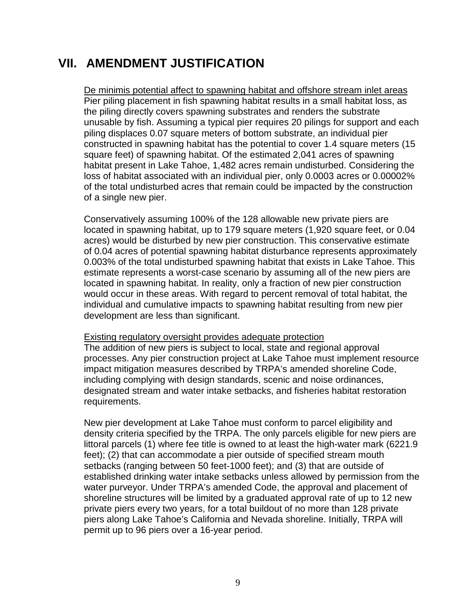## **VII. AMENDMENT JUSTIFICATION**

De minimis potential affect to spawning habitat and offshore stream inlet areas Pier piling placement in fish spawning habitat results in a small habitat loss, as the piling directly covers spawning substrates and renders the substrate unusable by fish. Assuming a typical pier requires 20 pilings for support and each piling displaces 0.07 square meters of bottom substrate, an individual pier constructed in spawning habitat has the potential to cover 1.4 square meters (15 square feet) of spawning habitat. Of the estimated 2,041 acres of spawning habitat present in Lake Tahoe, 1,482 acres remain undisturbed. Considering the loss of habitat associated with an individual pier, only 0.0003 acres or 0.00002% of the total undisturbed acres that remain could be impacted by the construction of a single new pier.

Conservatively assuming 100% of the 128 allowable new private piers are located in spawning habitat, up to 179 square meters (1,920 square feet, or 0.04 acres) would be disturbed by new pier construction. This conservative estimate of 0.04 acres of potential spawning habitat disturbance represents approximately 0.003% of the total undisturbed spawning habitat that exists in Lake Tahoe. This estimate represents a worst-case scenario by assuming all of the new piers are located in spawning habitat. In reality, only a fraction of new pier construction would occur in these areas. With regard to percent removal of total habitat, the individual and cumulative impacts to spawning habitat resulting from new pier development are less than significant.

#### Existing regulatory oversight provides adequate protection

The addition of new piers is subject to local, state and regional approval processes. Any pier construction project at Lake Tahoe must implement resource impact mitigation measures described by TRPA's amended shoreline Code, including complying with design standards, scenic and noise ordinances, designated stream and water intake setbacks, and fisheries habitat restoration requirements.

New pier development at Lake Tahoe must conform to parcel eligibility and density criteria specified by the TRPA. The only parcels eligible for new piers are littoral parcels (1) where fee title is owned to at least the high-water mark (6221.9 feet); (2) that can accommodate a pier outside of specified stream mouth setbacks (ranging between 50 feet-1000 feet); and (3) that are outside of established drinking water intake setbacks unless allowed by permission from the water purveyor. Under TRPA's amended Code, the approval and placement of shoreline structures will be limited by a graduated approval rate of up to 12 new private piers every two years, for a total buildout of no more than 128 private piers along Lake Tahoe's California and Nevada shoreline. Initially, TRPA will permit up to 96 piers over a 16-year period.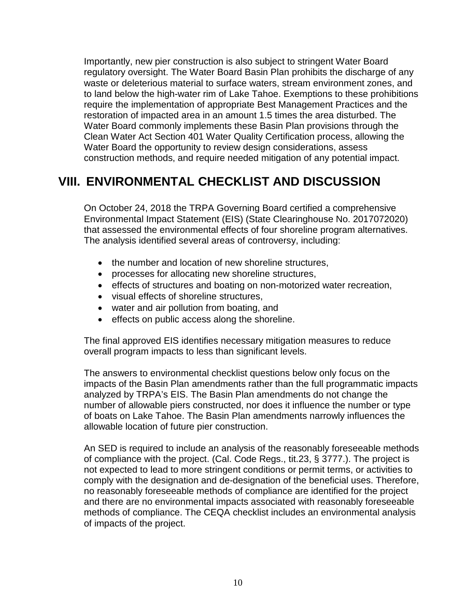Importantly, new pier construction is also subject to stringent Water Board regulatory oversight. The Water Board Basin Plan prohibits the discharge of any waste or deleterious material to surface waters, stream environment zones, and to land below the high-water rim of Lake Tahoe. Exemptions to these prohibitions require the implementation of appropriate Best Management Practices and the restoration of impacted area in an amount 1.5 times the area disturbed. The Water Board commonly implements these Basin Plan provisions through the Clean Water Act Section 401 Water Quality Certification process, allowing the Water Board the opportunity to review design considerations, assess construction methods, and require needed mitigation of any potential impact.

## **VIII. ENVIRONMENTAL CHECKLIST AND DISCUSSION**

On October 24, 2018 the TRPA Governing Board certified a comprehensive Environmental Impact Statement (EIS) (State Clearinghouse No. 2017072020) that assessed the environmental effects of four shoreline program alternatives. The analysis identified several areas of controversy, including:

- the number and location of new shoreline structures,
- processes for allocating new shoreline structures,
- effects of structures and boating on non-motorized water recreation,
- visual effects of shoreline structures,
- water and air pollution from boating, and
- effects on public access along the shoreline.

The final approved EIS identifies necessary mitigation measures to reduce overall program impacts to less than significant levels.

The answers to environmental checklist questions below only focus on the impacts of the Basin Plan amendments rather than the full programmatic impacts analyzed by TRPA's EIS. The Basin Plan amendments do not change the number of allowable piers constructed, nor does it influence the number or type of boats on Lake Tahoe. The Basin Plan amendments narrowly influences the allowable location of future pier construction.

An SED is required to include an analysis of the reasonably foreseeable methods of compliance with the project. (Cal. Code Regs., tit.23, § 3777.). The project is not expected to lead to more stringent conditions or permit terms, or activities to comply with the designation and de-designation of the beneficial uses. Therefore, no reasonably foreseeable methods of compliance are identified for the project and there are no environmental impacts associated with reasonably foreseeable methods of compliance. The CEQA checklist includes an environmental analysis of impacts of the project.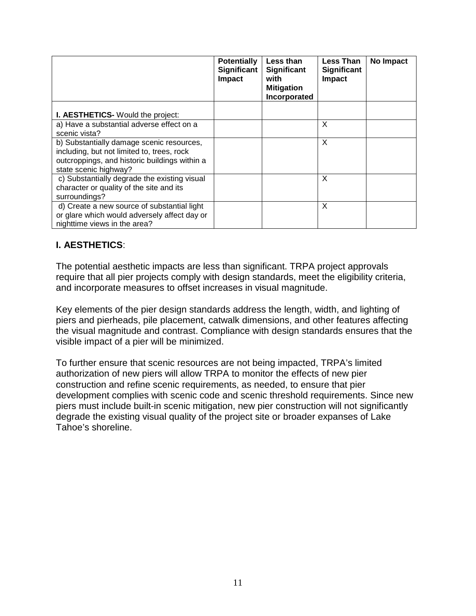|                                                                                                                                                                   | <b>Potentially</b><br>Significant<br>Impact | Less than<br>Significant<br>with<br><b>Mitigation</b><br>Incorporated | <b>Less Than</b><br><b>Significant</b><br>Impact | No Impact |
|-------------------------------------------------------------------------------------------------------------------------------------------------------------------|---------------------------------------------|-----------------------------------------------------------------------|--------------------------------------------------|-----------|
| I. AESTHETICS- Would the project:                                                                                                                                 |                                             |                                                                       |                                                  |           |
| a) Have a substantial adverse effect on a<br>scenic vista?                                                                                                        |                                             |                                                                       | X                                                |           |
| b) Substantially damage scenic resources,<br>including, but not limited to, trees, rock<br>outcroppings, and historic buildings within a<br>state scenic highway? |                                             |                                                                       | X                                                |           |
| c) Substantially degrade the existing visual<br>character or quality of the site and its<br>surroundings?                                                         |                                             |                                                                       | $\mathsf{x}$                                     |           |
| d) Create a new source of substantial light<br>or glare which would adversely affect day or<br>nighttime views in the area?                                       |                                             |                                                                       | X                                                |           |

#### **I. AESTHETICS**:

The potential aesthetic impacts are less than significant. TRPA project approvals require that all pier projects comply with design standards, meet the eligibility criteria, and incorporate measures to offset increases in visual magnitude.

Key elements of the pier design standards address the length, width, and lighting of piers and pierheads, pile placement, catwalk dimensions, and other features affecting the visual magnitude and contrast. Compliance with design standards ensures that the visible impact of a pier will be minimized.

To further ensure that scenic resources are not being impacted, TRPA's limited authorization of new piers will allow TRPA to monitor the effects of new pier construction and refine scenic requirements, as needed, to ensure that pier development complies with scenic code and scenic threshold requirements. Since new piers must include built-in scenic mitigation, new pier construction will not significantly degrade the existing visual quality of the project site or broader expanses of Lake Tahoe's shoreline.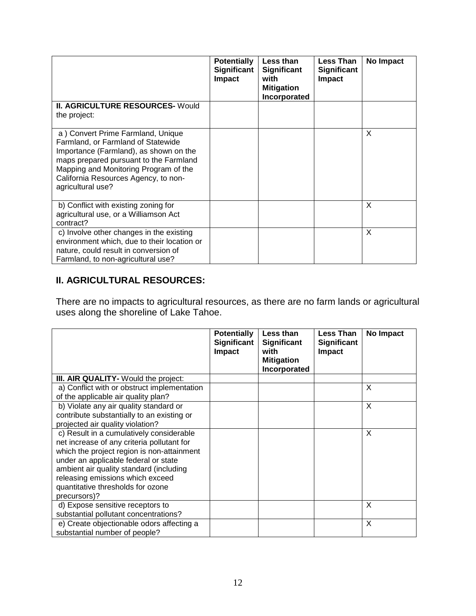|                                                                                                                                                                                                                                                                   | <b>Potentially</b><br>Significant<br><b>Impact</b> | Less than<br><b>Significant</b><br>with<br><b>Mitigation</b><br>Incorporated | Less Than<br><b>Significant</b><br><b>Impact</b> | No Impact |
|-------------------------------------------------------------------------------------------------------------------------------------------------------------------------------------------------------------------------------------------------------------------|----------------------------------------------------|------------------------------------------------------------------------------|--------------------------------------------------|-----------|
| <b>II. AGRICULTURE RESOURCES- Would</b><br>the project:                                                                                                                                                                                                           |                                                    |                                                                              |                                                  |           |
| a) Convert Prime Farmland, Unique<br>Farmland, or Farmland of Statewide<br>Importance (Farmland), as shown on the<br>maps prepared pursuant to the Farmland<br>Mapping and Monitoring Program of the<br>California Resources Agency, to non-<br>agricultural use? |                                                    |                                                                              |                                                  | X         |
| b) Conflict with existing zoning for<br>agricultural use, or a Williamson Act<br>contract?                                                                                                                                                                        |                                                    |                                                                              |                                                  | X         |
| c) Involve other changes in the existing<br>environment which, due to their location or<br>nature, could result in conversion of<br>Farmland, to non-agricultural use?                                                                                            |                                                    |                                                                              |                                                  | X         |

### **II. AGRICULTURAL RESOURCES:**

There are no impacts to agricultural resources, as there are no farm lands or agricultural uses along the shoreline of Lake Tahoe.

|                                                                                                                                                                                                                                                                                                                  | <b>Potentially</b><br><b>Significant</b><br><b>Impact</b> | Less than<br><b>Significant</b><br>with | <b>Less Than</b><br><b>Significant</b><br>Impact | No Impact |
|------------------------------------------------------------------------------------------------------------------------------------------------------------------------------------------------------------------------------------------------------------------------------------------------------------------|-----------------------------------------------------------|-----------------------------------------|--------------------------------------------------|-----------|
|                                                                                                                                                                                                                                                                                                                  |                                                           | <b>Mitigation</b><br>Incorporated       |                                                  |           |
| III. AIR QUALITY- Would the project:                                                                                                                                                                                                                                                                             |                                                           |                                         |                                                  |           |
| a) Conflict with or obstruct implementation<br>of the applicable air quality plan?                                                                                                                                                                                                                               |                                                           |                                         |                                                  | X         |
| b) Violate any air quality standard or<br>contribute substantially to an existing or<br>projected air quality violation?                                                                                                                                                                                         |                                                           |                                         |                                                  | X         |
| c) Result in a cumulatively considerable<br>net increase of any criteria pollutant for<br>which the project region is non-attainment<br>under an applicable federal or state<br>ambient air quality standard (including<br>releasing emissions which exceed<br>quantitative thresholds for ozone<br>precursors)? |                                                           |                                         |                                                  | X         |
| d) Expose sensitive receptors to<br>substantial pollutant concentrations?                                                                                                                                                                                                                                        |                                                           |                                         |                                                  | X         |
| e) Create objectionable odors affecting a<br>substantial number of people?                                                                                                                                                                                                                                       |                                                           |                                         |                                                  | X         |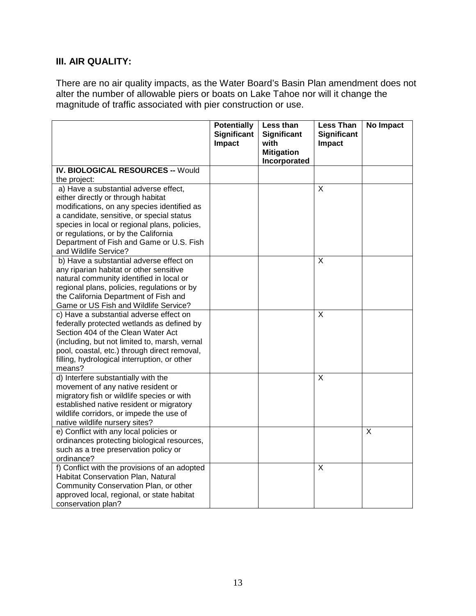### **III. AIR QUALITY:**

There are no air quality impacts, as the Water Board's Basin Plan amendment does not alter the number of allowable piers or boats on Lake Tahoe nor will it change the magnitude of traffic associated with pier construction or use.

|                                                                                                                                                                                                                                                                                                              | <b>Potentially</b><br><b>Significant</b><br>Impact | Less than<br><b>Significant</b><br>with | <b>Less Than</b><br><b>Significant</b><br>Impact | <b>No Impact</b> |
|--------------------------------------------------------------------------------------------------------------------------------------------------------------------------------------------------------------------------------------------------------------------------------------------------------------|----------------------------------------------------|-----------------------------------------|--------------------------------------------------|------------------|
|                                                                                                                                                                                                                                                                                                              |                                                    | <b>Mitigation</b><br>Incorporated       |                                                  |                  |
| <b>IV. BIOLOGICAL RESOURCES -- Would</b>                                                                                                                                                                                                                                                                     |                                                    |                                         |                                                  |                  |
| the project:                                                                                                                                                                                                                                                                                                 |                                                    |                                         |                                                  |                  |
| a) Have a substantial adverse effect,<br>either directly or through habitat<br>modifications, on any species identified as<br>a candidate, sensitive, or special status<br>species in local or regional plans, policies,<br>or regulations, or by the California<br>Department of Fish and Game or U.S. Fish |                                                    |                                         | X                                                |                  |
| and Wildlife Service?                                                                                                                                                                                                                                                                                        |                                                    |                                         |                                                  |                  |
| b) Have a substantial adverse effect on<br>any riparian habitat or other sensitive<br>natural community identified in local or<br>regional plans, policies, regulations or by<br>the California Department of Fish and<br>Game or US Fish and Wildlife Service?                                              |                                                    |                                         | $\sf X$                                          |                  |
| c) Have a substantial adverse effect on<br>federally protected wetlands as defined by<br>Section 404 of the Clean Water Act<br>(including, but not limited to, marsh, vernal<br>pool, coastal, etc.) through direct removal,<br>filling, hydrological interruption, or other<br>means?                       |                                                    |                                         | X                                                |                  |
| d) Interfere substantially with the<br>movement of any native resident or<br>migratory fish or wildlife species or with<br>established native resident or migratory<br>wildlife corridors, or impede the use of<br>native wildlife nursery sites?                                                            |                                                    |                                         | $\overline{\mathsf{x}}$                          |                  |
| e) Conflict with any local policies or<br>ordinances protecting biological resources,<br>such as a tree preservation policy or<br>ordinance?                                                                                                                                                                 |                                                    |                                         |                                                  | X                |
| f) Conflict with the provisions of an adopted<br>Habitat Conservation Plan, Natural<br>Community Conservation Plan, or other<br>approved local, regional, or state habitat<br>conservation plan?                                                                                                             |                                                    |                                         | $\overline{\mathsf{x}}$                          |                  |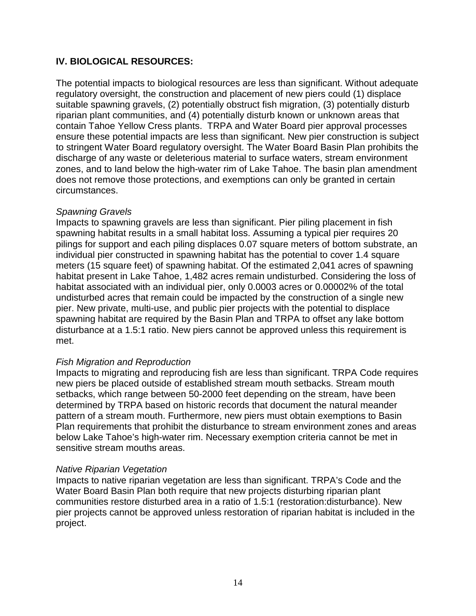#### **IV. BIOLOGICAL RESOURCES:**

The potential impacts to biological resources are less than significant. Without adequate regulatory oversight, the construction and placement of new piers could (1) displace suitable spawning gravels, (2) potentially obstruct fish migration, (3) potentially disturb riparian plant communities, and (4) potentially disturb known or unknown areas that contain Tahoe Yellow Cress plants. TRPA and Water Board pier approval processes ensure these potential impacts are less than significant. New pier construction is subject to stringent Water Board regulatory oversight. The Water Board Basin Plan prohibits the discharge of any waste or deleterious material to surface waters, stream environment zones, and to land below the high-water rim of Lake Tahoe. The basin plan amendment does not remove those protections, and exemptions can only be granted in certain circumstances.

#### *Spawning Gravels*

Impacts to spawning gravels are less than significant. Pier piling placement in fish spawning habitat results in a small habitat loss. Assuming a typical pier requires 20 pilings for support and each piling displaces 0.07 square meters of bottom substrate, an individual pier constructed in spawning habitat has the potential to cover 1.4 square meters (15 square feet) of spawning habitat. Of the estimated 2,041 acres of spawning habitat present in Lake Tahoe, 1,482 acres remain undisturbed. Considering the loss of habitat associated with an individual pier, only 0.0003 acres or 0.00002% of the total undisturbed acres that remain could be impacted by the construction of a single new pier. New private, multi-use, and public pier projects with the potential to displace spawning habitat are required by the Basin Plan and TRPA to offset any lake bottom disturbance at a 1.5:1 ratio. New piers cannot be approved unless this requirement is met.

#### *Fish Migration and Reproduction*

Impacts to migrating and reproducing fish are less than significant. TRPA Code requires new piers be placed outside of established stream mouth setbacks. Stream mouth setbacks, which range between 50-2000 feet depending on the stream, have been determined by TRPA based on historic records that document the natural meander pattern of a stream mouth. Furthermore, new piers must obtain exemptions to Basin Plan requirements that prohibit the disturbance to stream environment zones and areas below Lake Tahoe's high-water rim. Necessary exemption criteria cannot be met in sensitive stream mouths areas.

#### *Native Riparian Vegetation*

Impacts to native riparian vegetation are less than significant. TRPA's Code and the Water Board Basin Plan both require that new projects disturbing riparian plant communities restore disturbed area in a ratio of 1.5:1 (restoration:disturbance). New pier projects cannot be approved unless restoration of riparian habitat is included in the project.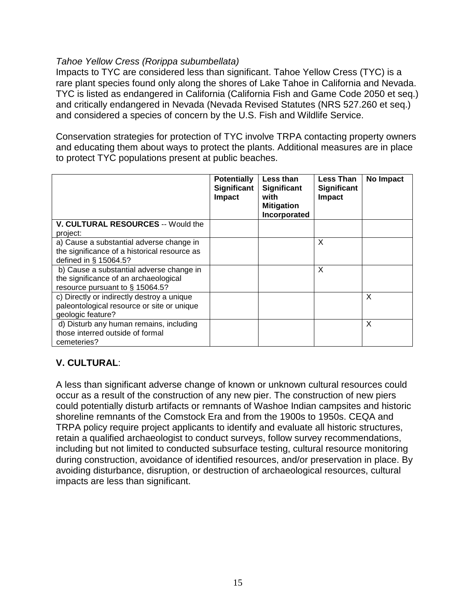#### *Tahoe Yellow Cress (Rorippa subumbellata)*

Impacts to TYC are considered less than significant. Tahoe Yellow Cress (TYC) is a rare plant species found only along the shores of Lake Tahoe in California and Nevada. TYC is listed as endangered in California (California Fish and Game Code 2050 et seq.) and critically endangered in Nevada (Nevada Revised Statutes (NRS 527.260 et seq.) and considered a species of concern by the U.S. Fish and Wildlife Service.

Conservation strategies for protection of TYC involve TRPA contacting property owners and educating them about ways to protect the plants. Additional measures are in place to protect TYC populations present at public beaches.

|                                              | <b>Potentially</b><br><b>Significant</b><br>Impact | Less than<br><b>Significant</b><br>with<br><b>Mitigation</b><br>Incorporated | <b>Less Than</b><br>Significant<br>Impact | No Impact |
|----------------------------------------------|----------------------------------------------------|------------------------------------------------------------------------------|-------------------------------------------|-----------|
| <b>V. CULTURAL RESOURCES -- Would the</b>    |                                                    |                                                                              |                                           |           |
| project:                                     |                                                    |                                                                              |                                           |           |
| a) Cause a substantial adverse change in     |                                                    |                                                                              | X                                         |           |
| the significance of a historical resource as |                                                    |                                                                              |                                           |           |
| defined in § 15064.5?                        |                                                    |                                                                              |                                           |           |
| b) Cause a substantial adverse change in     |                                                    |                                                                              | X                                         |           |
| the significance of an archaeological        |                                                    |                                                                              |                                           |           |
| resource pursuant to § 15064.5?              |                                                    |                                                                              |                                           |           |
| c) Directly or indirectly destroy a unique   |                                                    |                                                                              |                                           | X         |
| paleontological resource or site or unique   |                                                    |                                                                              |                                           |           |
| geologic feature?                            |                                                    |                                                                              |                                           |           |
| d) Disturb any human remains, including      |                                                    |                                                                              |                                           | X         |
| those interred outside of formal             |                                                    |                                                                              |                                           |           |
| cemeteries?                                  |                                                    |                                                                              |                                           |           |

### **V. CULTURAL**:

A less than significant adverse change of known or unknown cultural resources could occur as a result of the construction of any new pier. The construction of new piers could potentially disturb artifacts or remnants of Washoe Indian campsites and historic shoreline remnants of the Comstock Era and from the 1900s to 1950s. CEQA and TRPA policy require project applicants to identify and evaluate all historic structures, retain a qualified archaeologist to conduct surveys, follow survey recommendations, including but not limited to conducted subsurface testing, cultural resource monitoring during construction, avoidance of identified resources, and/or preservation in place. By avoiding disturbance, disruption, or destruction of archaeological resources, cultural impacts are less than significant.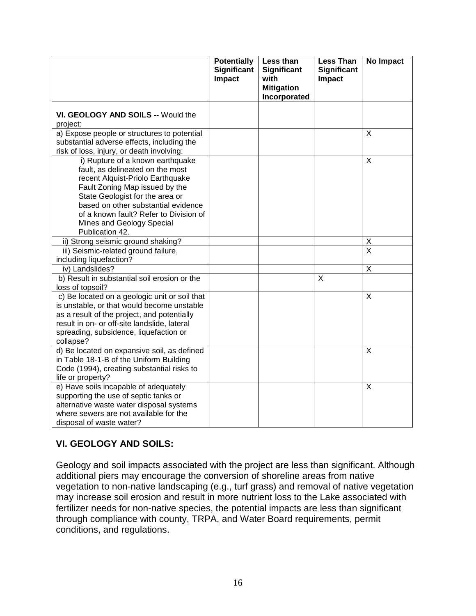|                                                                                                                                                                                                                                                                                                                | <b>Potentially</b><br><b>Significant</b><br>Impact | Less than<br><b>Significant</b><br>with<br><b>Mitigation</b><br>Incorporated | <b>Less Than</b><br><b>Significant</b><br><b>Impact</b> | No Impact               |
|----------------------------------------------------------------------------------------------------------------------------------------------------------------------------------------------------------------------------------------------------------------------------------------------------------------|----------------------------------------------------|------------------------------------------------------------------------------|---------------------------------------------------------|-------------------------|
| VI. GEOLOGY AND SOILS -- Would the<br>project:                                                                                                                                                                                                                                                                 |                                                    |                                                                              |                                                         |                         |
| a) Expose people or structures to potential<br>substantial adverse effects, including the<br>risk of loss, injury, or death involving:                                                                                                                                                                         |                                                    |                                                                              |                                                         | X                       |
| i) Rupture of a known earthquake<br>fault, as delineated on the most<br>recent Alquist-Priolo Earthquake<br>Fault Zoning Map issued by the<br>State Geologist for the area or<br>based on other substantial evidence<br>of a known fault? Refer to Division of<br>Mines and Geology Special<br>Publication 42. |                                                    |                                                                              |                                                         | X                       |
| ii) Strong seismic ground shaking?                                                                                                                                                                                                                                                                             |                                                    |                                                                              |                                                         | X                       |
| iii) Seismic-related ground failure,<br>including liquefaction?                                                                                                                                                                                                                                                |                                                    |                                                                              |                                                         | $\overline{\mathsf{x}}$ |
| iv) Landslides?                                                                                                                                                                                                                                                                                                |                                                    |                                                                              |                                                         | X                       |
| b) Result in substantial soil erosion or the<br>loss of topsoil?                                                                                                                                                                                                                                               |                                                    |                                                                              | X                                                       |                         |
| c) Be located on a geologic unit or soil that<br>is unstable, or that would become unstable<br>as a result of the project, and potentially<br>result in on- or off-site landslide, lateral<br>spreading, subsidence, liquefaction or<br>collapse?                                                              |                                                    |                                                                              |                                                         | X                       |
| d) Be located on expansive soil, as defined<br>in Table 18-1-B of the Uniform Building<br>Code (1994), creating substantial risks to<br>life or property?                                                                                                                                                      |                                                    |                                                                              |                                                         | X                       |
| e) Have soils incapable of adequately<br>supporting the use of septic tanks or<br>alternative waste water disposal systems<br>where sewers are not available for the<br>disposal of waste water?                                                                                                               |                                                    |                                                                              |                                                         | X                       |

#### **VI. GEOLOGY AND SOILS:**

Geology and soil impacts associated with the project are less than significant. Although additional piers may encourage the conversion of shoreline areas from native vegetation to non-native landscaping (e.g., turf grass) and removal of native vegetation may increase soil erosion and result in more nutrient loss to the Lake associated with fertilizer needs for non-native species, the potential impacts are less than significant through compliance with county, TRPA, and Water Board requirements, permit conditions, and regulations.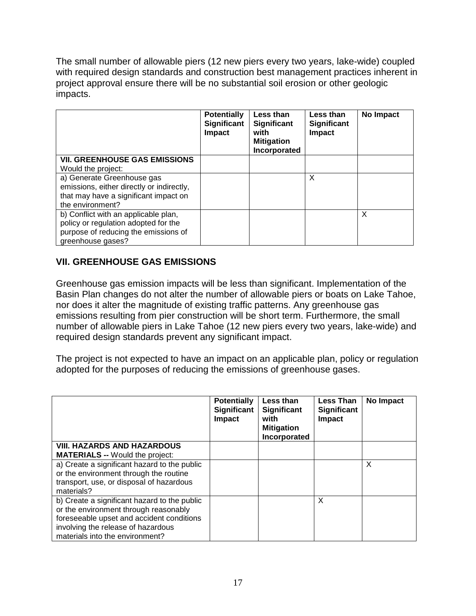The small number of allowable piers (12 new piers every two years, lake-wide) coupled with required design standards and construction best management practices inherent in project approval ensure there will be no substantial soil erosion or other geologic impacts.

|                                                                                                                                           | <b>Potentially</b><br>Significant<br>Impact | Less than<br><b>Significant</b><br>with<br><b>Mitigation</b><br>Incorporated | Less than<br><b>Significant</b><br>Impact | <b>No Impact</b> |
|-------------------------------------------------------------------------------------------------------------------------------------------|---------------------------------------------|------------------------------------------------------------------------------|-------------------------------------------|------------------|
| <b>VII. GREENHOUSE GAS EMISSIONS</b>                                                                                                      |                                             |                                                                              |                                           |                  |
| Would the project:                                                                                                                        |                                             |                                                                              |                                           |                  |
| a) Generate Greenhouse gas<br>emissions, either directly or indirectly,<br>that may have a significant impact on<br>the environment?      |                                             |                                                                              | X                                         |                  |
| b) Conflict with an applicable plan,<br>policy or regulation adopted for the<br>purpose of reducing the emissions of<br>greenhouse gases? |                                             |                                                                              |                                           | X                |

### **VII. GREENHOUSE GAS EMISSIONS**

Greenhouse gas emission impacts will be less than significant. Implementation of the Basin Plan changes do not alter the number of allowable piers or boats on Lake Tahoe, nor does it alter the magnitude of existing traffic patterns. Any greenhouse gas emissions resulting from pier construction will be short term. Furthermore, the small number of allowable piers in Lake Tahoe (12 new piers every two years, lake-wide) and required design standards prevent any significant impact.

The project is not expected to have an impact on an applicable plan, policy or regulation adopted for the purposes of reducing the emissions of greenhouse gases.

|                                              | <b>Potentially</b><br><b>Significant</b><br>Impact | Less than<br><b>Significant</b><br>with<br><b>Mitigation</b><br>Incorporated | <b>Less Than</b><br>Significant<br><b>Impact</b> | No Impact |
|----------------------------------------------|----------------------------------------------------|------------------------------------------------------------------------------|--------------------------------------------------|-----------|
| <b>VIII. HAZARDS AND HAZARDOUS</b>           |                                                    |                                                                              |                                                  |           |
| <b>MATERIALS</b> -- Would the project:       |                                                    |                                                                              |                                                  |           |
| a) Create a significant hazard to the public |                                                    |                                                                              |                                                  | X         |
| or the environment through the routine       |                                                    |                                                                              |                                                  |           |
| transport, use, or disposal of hazardous     |                                                    |                                                                              |                                                  |           |
| materials?                                   |                                                    |                                                                              |                                                  |           |
| b) Create a significant hazard to the public |                                                    |                                                                              | X                                                |           |
| or the environment through reasonably        |                                                    |                                                                              |                                                  |           |
| foreseeable upset and accident conditions    |                                                    |                                                                              |                                                  |           |
| involving the release of hazardous           |                                                    |                                                                              |                                                  |           |
| materials into the environment?              |                                                    |                                                                              |                                                  |           |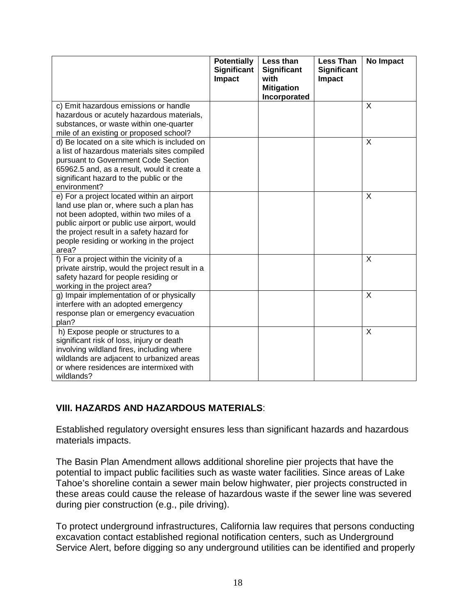|                                                                                                                                                                                                                                                                                    | <b>Potentially</b><br>Significant<br><b>Impact</b> | Less than<br><b>Significant</b><br>with<br><b>Mitigation</b><br>Incorporated | <b>Less Than</b><br><b>Significant</b><br>Impact | No Impact    |
|------------------------------------------------------------------------------------------------------------------------------------------------------------------------------------------------------------------------------------------------------------------------------------|----------------------------------------------------|------------------------------------------------------------------------------|--------------------------------------------------|--------------|
| c) Emit hazardous emissions or handle<br>hazardous or acutely hazardous materials,<br>substances, or waste within one-quarter<br>mile of an existing or proposed school?                                                                                                           |                                                    |                                                                              |                                                  | $\times$     |
| d) Be located on a site which is included on<br>a list of hazardous materials sites compiled<br>pursuant to Government Code Section<br>65962.5 and, as a result, would it create a<br>significant hazard to the public or the<br>environment?                                      |                                                    |                                                                              |                                                  | $\sf X$      |
| e) For a project located within an airport<br>land use plan or, where such a plan has<br>not been adopted, within two miles of a<br>public airport or public use airport, would<br>the project result in a safety hazard for<br>people residing or working in the project<br>area? |                                                    |                                                                              |                                                  | X            |
| f) For a project within the vicinity of a<br>private airstrip, would the project result in a<br>safety hazard for people residing or<br>working in the project area?                                                                                                               |                                                    |                                                                              |                                                  | $\times$     |
| g) Impair implementation of or physically<br>interfere with an adopted emergency<br>response plan or emergency evacuation<br>plan?                                                                                                                                                 |                                                    |                                                                              |                                                  | $\mathsf{X}$ |
| h) Expose people or structures to a<br>significant risk of loss, injury or death<br>involving wildland fires, including where<br>wildlands are adjacent to urbanized areas<br>or where residences are intermixed with<br>wildlands?                                                |                                                    |                                                                              |                                                  | $\sf X$      |

### **VIII. HAZARDS AND HAZARDOUS MATERIALS**:

Established regulatory oversight ensures less than significant hazards and hazardous materials impacts.

The Basin Plan Amendment allows additional shoreline pier projects that have the potential to impact public facilities such as waste water facilities. Since areas of Lake Tahoe's shoreline contain a sewer main below highwater, pier projects constructed in these areas could cause the release of hazardous waste if the sewer line was severed during pier construction (e.g., pile driving).

To protect underground infrastructures, California law requires that persons conducting excavation contact established regional notification centers, such as Underground Service Alert, before digging so any underground utilities can be identified and properly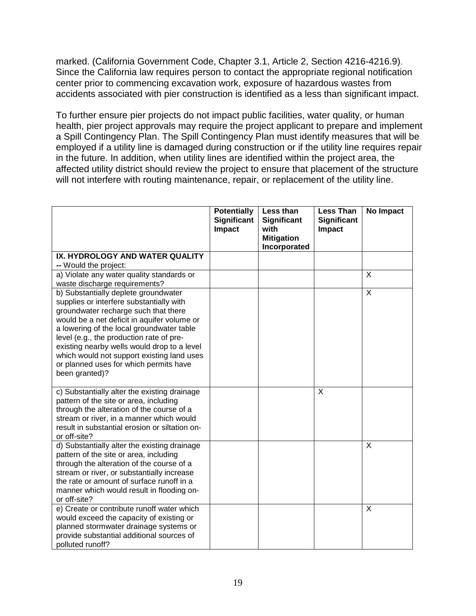marked. (California Government Code, Chapter 3.1, Article 2, Section 4216-4216.9). Since the California law requires person to contact the appropriate regional notification center prior to commencing excavation work, exposure of hazardous wastes from accidents associated with pier construction is identified as a less than significant impact.

To further ensure pier projects do not impact public facilities, water quality, or human health, pier project approvals may require the project applicant to prepare and implement a Spill Contingency Plan. The Spill Contingency Plan must identify measures that will be employed if a utility line is damaged during construction or if the utility line requires repair in the future. In addition, when utility lines are identified within the project area, the affected utility district should review the project to ensure that placement of the structure will not interfere with routing maintenance, repair, or replacement of the utility line.

|                                                                                                                                                                                                                                                                                                                                                                                                                           | <b>Potentially</b><br><b>Significant</b><br>Impact | Less than<br><b>Significant</b><br>with<br><b>Mitigation</b><br>Incorporated | <b>Less Than</b><br><b>Significant</b><br>Impact | <b>No Impact</b> |
|---------------------------------------------------------------------------------------------------------------------------------------------------------------------------------------------------------------------------------------------------------------------------------------------------------------------------------------------------------------------------------------------------------------------------|----------------------------------------------------|------------------------------------------------------------------------------|--------------------------------------------------|------------------|
| IX. HYDROLOGY AND WATER QUALITY<br>-- Would the project:                                                                                                                                                                                                                                                                                                                                                                  |                                                    |                                                                              |                                                  |                  |
| a) Violate any water quality standards or<br>waste discharge requirements?                                                                                                                                                                                                                                                                                                                                                |                                                    |                                                                              |                                                  | X                |
| b) Substantially deplete groundwater<br>supplies or interfere substantially with<br>groundwater recharge such that there<br>would be a net deficit in aquifer volume or<br>a lowering of the local groundwater table<br>level (e.g., the production rate of pre-<br>existing nearby wells would drop to a level<br>which would not support existing land uses<br>or planned uses for which permits have<br>been granted)? |                                                    |                                                                              |                                                  | X                |
| c) Substantially alter the existing drainage<br>pattern of the site or area, including<br>through the alteration of the course of a<br>stream or river, in a manner which would<br>result in substantial erosion or siltation on-<br>or off-site?                                                                                                                                                                         |                                                    |                                                                              | X                                                |                  |
| d) Substantially alter the existing drainage<br>pattern of the site or area, including<br>through the alteration of the course of a<br>stream or river, or substantially increase<br>the rate or amount of surface runoff in a<br>manner which would result in flooding on-<br>or off-site?                                                                                                                               |                                                    |                                                                              |                                                  | X                |
| e) Create or contribute runoff water which<br>would exceed the capacity of existing or<br>planned stormwater drainage systems or<br>provide substantial additional sources of<br>polluted runoff?                                                                                                                                                                                                                         |                                                    |                                                                              |                                                  | X                |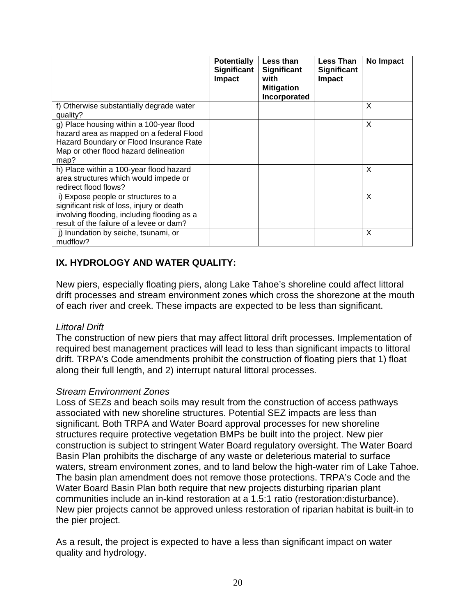|                                                                                                                                                                                  | <b>Potentially</b><br>Significant<br>Impact | Less than<br><b>Significant</b><br>with<br><b>Mitigation</b><br>Incorporated | Less Than<br><b>Significant</b><br><b>Impact</b> | No Impact |
|----------------------------------------------------------------------------------------------------------------------------------------------------------------------------------|---------------------------------------------|------------------------------------------------------------------------------|--------------------------------------------------|-----------|
| f) Otherwise substantially degrade water<br>quality?                                                                                                                             |                                             |                                                                              |                                                  | X         |
| g) Place housing within a 100-year flood<br>hazard area as mapped on a federal Flood<br>Hazard Boundary or Flood Insurance Rate<br>Map or other flood hazard delineation<br>map? |                                             |                                                                              |                                                  | X         |
| h) Place within a 100-year flood hazard<br>area structures which would impede or<br>redirect flood flows?                                                                        |                                             |                                                                              |                                                  | X         |
| i) Expose people or structures to a<br>significant risk of loss, injury or death<br>involving flooding, including flooding as a<br>result of the failure of a levee or dam?      |                                             |                                                                              |                                                  | X         |
| j) Inundation by seiche, tsunami, or<br>mudflow?                                                                                                                                 |                                             |                                                                              |                                                  | X         |

### **IX. HYDROLOGY AND WATER QUALITY:**

New piers, especially floating piers, along Lake Tahoe's shoreline could affect littoral drift processes and stream environment zones which cross the shorezone at the mouth of each river and creek. These impacts are expected to be less than significant.

#### *Littoral Drift*

The construction of new piers that may affect littoral drift processes. Implementation of required best management practices will lead to less than significant impacts to littoral drift. TRPA's Code amendments prohibit the construction of floating piers that 1) float along their full length, and 2) interrupt natural littoral processes.

#### *Stream Environment Zones*

Loss of SEZs and beach soils may result from the construction of access pathways associated with new shoreline structures. Potential SEZ impacts are less than significant. Both TRPA and Water Board approval processes for new shoreline structures require protective vegetation BMPs be built into the project. New pier construction is subject to stringent Water Board regulatory oversight. The Water Board Basin Plan prohibits the discharge of any waste or deleterious material to surface waters, stream environment zones, and to land below the high-water rim of Lake Tahoe. The basin plan amendment does not remove those protections. TRPA's Code and the Water Board Basin Plan both require that new projects disturbing riparian plant communities include an in-kind restoration at a 1.5:1 ratio (restoration:disturbance). New pier projects cannot be approved unless restoration of riparian habitat is built-in to the pier project.

As a result, the project is expected to have a less than significant impact on water quality and hydrology.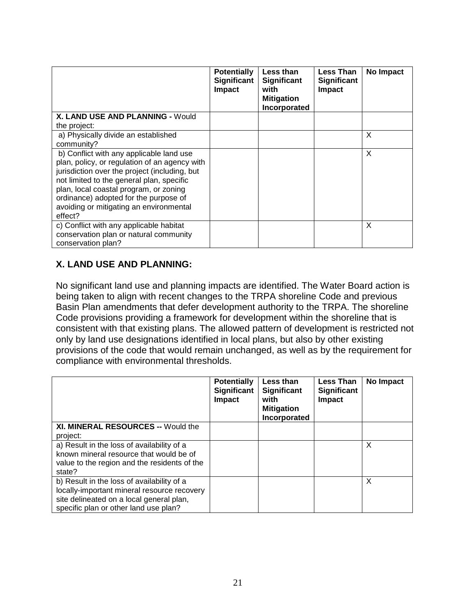|                                                                                                                                                                                                                                                                                                                                  | <b>Potentially</b><br><b>Significant</b><br>Impact | Less than<br>Significant<br>with<br><b>Mitigation</b><br>Incorporated | <b>Less Than</b><br>Significant<br>Impact | No Impact |
|----------------------------------------------------------------------------------------------------------------------------------------------------------------------------------------------------------------------------------------------------------------------------------------------------------------------------------|----------------------------------------------------|-----------------------------------------------------------------------|-------------------------------------------|-----------|
| X. LAND USE AND PLANNING - Would                                                                                                                                                                                                                                                                                                 |                                                    |                                                                       |                                           |           |
| the project:                                                                                                                                                                                                                                                                                                                     |                                                    |                                                                       |                                           |           |
| a) Physically divide an established                                                                                                                                                                                                                                                                                              |                                                    |                                                                       |                                           | X         |
| community?                                                                                                                                                                                                                                                                                                                       |                                                    |                                                                       |                                           |           |
| b) Conflict with any applicable land use<br>plan, policy, or regulation of an agency with<br>jurisdiction over the project (including, but<br>not limited to the general plan, specific<br>plan, local coastal program, or zoning<br>ordinance) adopted for the purpose of<br>avoiding or mitigating an environmental<br>effect? |                                                    |                                                                       |                                           | X         |
| c) Conflict with any applicable habitat<br>conservation plan or natural community<br>conservation plan?                                                                                                                                                                                                                          |                                                    |                                                                       |                                           | X         |

### **X. LAND USE AND PLANNING:**

No significant land use and planning impacts are identified. The Water Board action is being taken to align with recent changes to the TRPA shoreline Code and previous Basin Plan amendments that defer development authority to the TRPA. The shoreline Code provisions providing a framework for development within the shoreline that is consistent with that existing plans. The allowed pattern of development is restricted not only by land use designations identified in local plans, but also by other existing provisions of the code that would remain unchanged, as well as by the requirement for compliance with environmental thresholds.

|                                                                                                                                                                                | <b>Potentially</b><br>Significant<br><b>Impact</b> | Less than<br>Significant<br>with<br><b>Mitigation</b><br>Incorporated | <b>Less Than</b><br>Significant<br>Impact | No Impact |
|--------------------------------------------------------------------------------------------------------------------------------------------------------------------------------|----------------------------------------------------|-----------------------------------------------------------------------|-------------------------------------------|-----------|
| XI. MINERAL RESOURCES -- Would the<br>project:                                                                                                                                 |                                                    |                                                                       |                                           |           |
| a) Result in the loss of availability of a<br>known mineral resource that would be of<br>value to the region and the residents of the<br>state?                                |                                                    |                                                                       |                                           | X         |
| b) Result in the loss of availability of a<br>locally-important mineral resource recovery<br>site delineated on a local general plan,<br>specific plan or other land use plan? |                                                    |                                                                       |                                           | X         |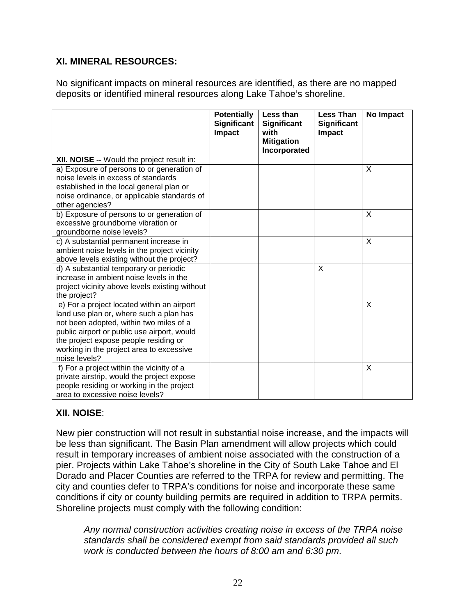### **XI. MINERAL RESOURCES:**

No significant impacts on mineral resources are identified, as there are no mapped deposits or identified mineral resources along Lake Tahoe's shoreline.

|                                                                                                                                                                                                                                                                                       | <b>Potentially</b><br>Significant<br>Impact | Less than<br><b>Significant</b><br>with<br><b>Mitigation</b><br>Incorporated | Less Than<br><b>Significant</b><br><b>Impact</b> | No Impact |
|---------------------------------------------------------------------------------------------------------------------------------------------------------------------------------------------------------------------------------------------------------------------------------------|---------------------------------------------|------------------------------------------------------------------------------|--------------------------------------------------|-----------|
| XII. NOISE -- Would the project result in:                                                                                                                                                                                                                                            |                                             |                                                                              |                                                  |           |
| a) Exposure of persons to or generation of<br>noise levels in excess of standards<br>established in the local general plan or<br>noise ordinance, or applicable standards of<br>other agencies?                                                                                       |                                             |                                                                              |                                                  | X         |
| b) Exposure of persons to or generation of<br>excessive groundborne vibration or<br>groundborne noise levels?                                                                                                                                                                         |                                             |                                                                              |                                                  | $\times$  |
| c) A substantial permanent increase in<br>ambient noise levels in the project vicinity<br>above levels existing without the project?                                                                                                                                                  |                                             |                                                                              |                                                  | $\sf X$   |
| d) A substantial temporary or periodic<br>increase in ambient noise levels in the<br>project vicinity above levels existing without<br>the project?                                                                                                                                   |                                             |                                                                              | X                                                |           |
| e) For a project located within an airport<br>land use plan or, where such a plan has<br>not been adopted, within two miles of a<br>public airport or public use airport, would<br>the project expose people residing or<br>working in the project area to excessive<br>noise levels? |                                             |                                                                              |                                                  | X         |
| f) For a project within the vicinity of a<br>private airstrip, would the project expose<br>people residing or working in the project<br>area to excessive noise levels?                                                                                                               |                                             |                                                                              |                                                  | X         |

#### **XII. NOISE**:

New pier construction will not result in substantial noise increase, and the impacts will be less than significant. The Basin Plan amendment will allow projects which could result in temporary increases of ambient noise associated with the construction of a pier. Projects within Lake Tahoe's shoreline in the City of South Lake Tahoe and El Dorado and Placer Counties are referred to the TRPA for review and permitting. The city and counties defer to TRPA's conditions for noise and incorporate these same conditions if city or county building permits are required in addition to TRPA permits. Shoreline projects must comply with the following condition:

*Any normal construction activities creating noise in excess of the TRPA noise standards shall be considered exempt from said standards provided all such work is conducted between the hours of 8:00 am and 6:30 pm*.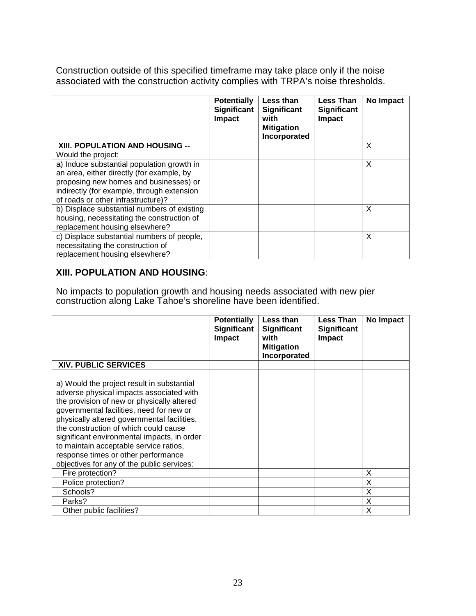Construction outside of this specified timeframe may take place only if the noise associated with the construction activity complies with TRPA's noise thresholds.

|                                             | <b>Potentially</b><br>Significant<br>Impact | Less than<br>Significant<br>with<br><b>Mitigation</b><br>Incorporated | <b>Less Than</b><br><b>Significant</b><br><b>Impact</b> | No Impact |
|---------------------------------------------|---------------------------------------------|-----------------------------------------------------------------------|---------------------------------------------------------|-----------|
| XIII. POPULATION AND HOUSING --             |                                             |                                                                       |                                                         | X         |
| Would the project:                          |                                             |                                                                       |                                                         |           |
| a) Induce substantial population growth in  |                                             |                                                                       |                                                         | X         |
| an area, either directly (for example, by   |                                             |                                                                       |                                                         |           |
| proposing new homes and businesses) or      |                                             |                                                                       |                                                         |           |
| indirectly (for example, through extension  |                                             |                                                                       |                                                         |           |
| of roads or other infrastructure)?          |                                             |                                                                       |                                                         |           |
| b) Displace substantial numbers of existing |                                             |                                                                       |                                                         | X         |
| housing, necessitating the construction of  |                                             |                                                                       |                                                         |           |
| replacement housing elsewhere?              |                                             |                                                                       |                                                         |           |
| c) Displace substantial numbers of people,  |                                             |                                                                       |                                                         | X         |
| necessitating the construction of           |                                             |                                                                       |                                                         |           |
| replacement housing elsewhere?              |                                             |                                                                       |                                                         |           |

#### **XIII. POPULATION AND HOUSING**:

No impacts to population growth and housing needs associated with new pier construction along Lake Tahoe's shoreline have been identified.

|                                                                                                                                                                                                                                                                                                                                                                                                                                                        | <b>Potentially</b><br>Significant<br><b>Impact</b> | Less than<br><b>Significant</b><br>with<br><b>Mitigation</b><br>Incorporated | Less Than<br><b>Significant</b><br><b>Impact</b> | No Impact |
|--------------------------------------------------------------------------------------------------------------------------------------------------------------------------------------------------------------------------------------------------------------------------------------------------------------------------------------------------------------------------------------------------------------------------------------------------------|----------------------------------------------------|------------------------------------------------------------------------------|--------------------------------------------------|-----------|
| <b>XIV. PUBLIC SERVICES</b>                                                                                                                                                                                                                                                                                                                                                                                                                            |                                                    |                                                                              |                                                  |           |
| a) Would the project result in substantial<br>adverse physical impacts associated with<br>the provision of new or physically altered<br>governmental facilities, need for new or<br>physically altered governmental facilities,<br>the construction of which could cause<br>significant environmental impacts, in order<br>to maintain acceptable service ratios,<br>response times or other performance<br>objectives for any of the public services: |                                                    |                                                                              |                                                  |           |
| Fire protection?                                                                                                                                                                                                                                                                                                                                                                                                                                       |                                                    |                                                                              |                                                  | X         |
| Police protection?                                                                                                                                                                                                                                                                                                                                                                                                                                     |                                                    |                                                                              |                                                  | X         |
| Schools?                                                                                                                                                                                                                                                                                                                                                                                                                                               |                                                    |                                                                              |                                                  | X         |
| Parks?                                                                                                                                                                                                                                                                                                                                                                                                                                                 |                                                    |                                                                              |                                                  | X         |
| Other public facilities?                                                                                                                                                                                                                                                                                                                                                                                                                               |                                                    |                                                                              |                                                  | X         |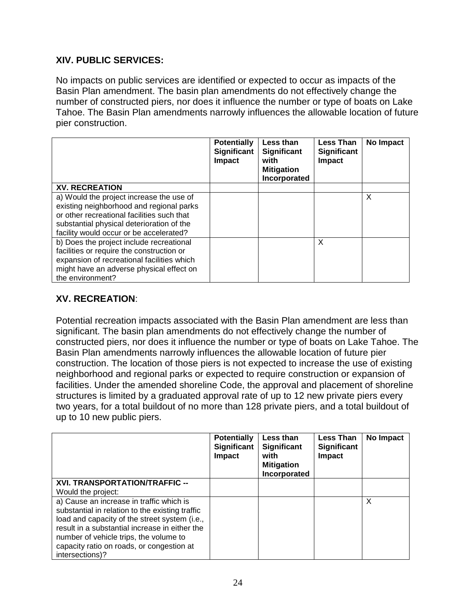#### **XIV. PUBLIC SERVICES:**

No impacts on public services are identified or expected to occur as impacts of the Basin Plan amendment. The basin plan amendments do not effectively change the number of constructed piers, nor does it influence the number or type of boats on Lake Tahoe. The Basin Plan amendments narrowly influences the allowable location of future pier construction.

|                                            | <b>Potentially</b><br>Significant<br>Impact | Less than<br><b>Significant</b><br>with<br><b>Mitigation</b><br>Incorporated | <b>Less Than</b><br><b>Significant</b><br>Impact | No Impact |
|--------------------------------------------|---------------------------------------------|------------------------------------------------------------------------------|--------------------------------------------------|-----------|
| <b>XV. RECREATION</b>                      |                                             |                                                                              |                                                  |           |
| a) Would the project increase the use of   |                                             |                                                                              |                                                  | X         |
| existing neighborhood and regional parks   |                                             |                                                                              |                                                  |           |
| or other recreational facilities such that |                                             |                                                                              |                                                  |           |
| substantial physical deterioration of the  |                                             |                                                                              |                                                  |           |
| facility would occur or be accelerated?    |                                             |                                                                              |                                                  |           |
| b) Does the project include recreational   |                                             |                                                                              | X                                                |           |
| facilities or require the construction or  |                                             |                                                                              |                                                  |           |
| expansion of recreational facilities which |                                             |                                                                              |                                                  |           |
| might have an adverse physical effect on   |                                             |                                                                              |                                                  |           |
| the environment?                           |                                             |                                                                              |                                                  |           |

#### **XV. RECREATION**:

Potential recreation impacts associated with the Basin Plan amendment are less than significant. The basin plan amendments do not effectively change the number of constructed piers, nor does it influence the number or type of boats on Lake Tahoe. The Basin Plan amendments narrowly influences the allowable location of future pier construction. The location of those piers is not expected to increase the use of existing neighborhood and regional parks or expected to require construction or expansion of facilities. Under the amended shoreline Code, the approval and placement of shoreline structures is limited by a graduated approval rate of up to 12 new private piers every two years, for a total buildout of no more than 128 private piers, and a total buildout of up to 10 new public piers.

|                                                 | <b>Potentially</b><br>Significant<br>Impact | Less than<br>Significant<br>with<br><b>Mitigation</b><br>Incorporated | <b>Less Than</b><br>Significant<br>Impact | No Impact |
|-------------------------------------------------|---------------------------------------------|-----------------------------------------------------------------------|-------------------------------------------|-----------|
| XVI. TRANSPORTATION/TRAFFIC --                  |                                             |                                                                       |                                           |           |
| Would the project:                              |                                             |                                                                       |                                           |           |
| a) Cause an increase in traffic which is        |                                             |                                                                       |                                           | X         |
| substantial in relation to the existing traffic |                                             |                                                                       |                                           |           |
| load and capacity of the street system (i.e.,   |                                             |                                                                       |                                           |           |
| result in a substantial increase in either the  |                                             |                                                                       |                                           |           |
| number of vehicle trips, the volume to          |                                             |                                                                       |                                           |           |
| capacity ratio on roads, or congestion at       |                                             |                                                                       |                                           |           |
| intersections)?                                 |                                             |                                                                       |                                           |           |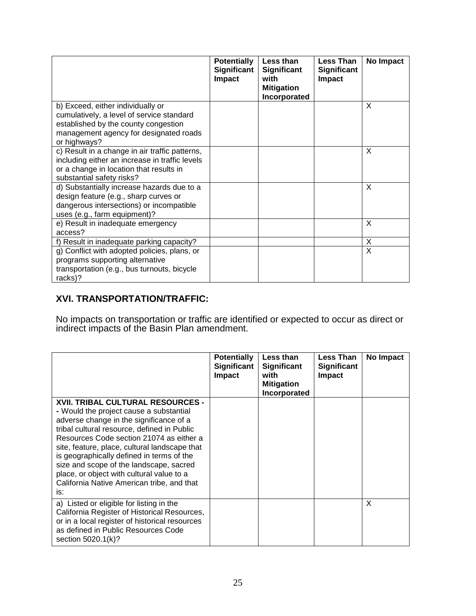|                                                                                                                                                                                  | <b>Potentially</b><br>Significant<br>Impact | Less than<br>Significant<br>with<br><b>Mitigation</b><br>Incorporated | <b>Less Than</b><br><b>Significant</b><br><b>Impact</b> | No Impact |
|----------------------------------------------------------------------------------------------------------------------------------------------------------------------------------|---------------------------------------------|-----------------------------------------------------------------------|---------------------------------------------------------|-----------|
| b) Exceed, either individually or<br>cumulatively, a level of service standard<br>established by the county congestion<br>management agency for designated roads<br>or highways? |                                             |                                                                       |                                                         | $\times$  |
| c) Result in a change in air traffic patterns,<br>including either an increase in traffic levels<br>or a change in location that results in<br>substantial safety risks?         |                                             |                                                                       |                                                         | $\times$  |
| d) Substantially increase hazards due to a<br>design feature (e.g., sharp curves or<br>dangerous intersections) or incompatible<br>uses (e.g., farm equipment)?                  |                                             |                                                                       |                                                         | X         |
| e) Result in inadequate emergency<br>access?                                                                                                                                     |                                             |                                                                       |                                                         | X         |
| f) Result in inadequate parking capacity?                                                                                                                                        |                                             |                                                                       |                                                         | X         |
| g) Conflict with adopted policies, plans, or<br>programs supporting alternative<br>transportation (e.g., bus turnouts, bicycle<br>racks)?                                        |                                             |                                                                       |                                                         | $\times$  |

### **XVI. TRANSPORTATION/TRAFFIC:**

No impacts on transportation or traffic are identified or expected to occur as direct or indirect impacts of the Basin Plan amendment.

|                                                                                                                                                                                                                                                                                                                                                                                                                                                                      | <b>Potentially</b><br>Significant<br><b>Impact</b> | Less than<br><b>Significant</b><br>with<br><b>Mitigation</b><br>Incorporated | <b>Less Than</b><br><b>Significant</b><br><b>Impact</b> | No Impact |
|----------------------------------------------------------------------------------------------------------------------------------------------------------------------------------------------------------------------------------------------------------------------------------------------------------------------------------------------------------------------------------------------------------------------------------------------------------------------|----------------------------------------------------|------------------------------------------------------------------------------|---------------------------------------------------------|-----------|
| <b>XVII. TRIBAL CULTURAL RESOURCES -</b><br>- Would the project cause a substantial<br>adverse change in the significance of a<br>tribal cultural resource, defined in Public<br>Resources Code section 21074 as either a<br>site, feature, place, cultural landscape that<br>is geographically defined in terms of the<br>size and scope of the landscape, sacred<br>place, or object with cultural value to a<br>California Native American tribe, and that<br>is: |                                                    |                                                                              |                                                         |           |
| a) Listed or eligible for listing in the<br>California Register of Historical Resources,<br>or in a local register of historical resources<br>as defined in Public Resources Code<br>section 5020.1(k)?                                                                                                                                                                                                                                                              |                                                    |                                                                              |                                                         | X         |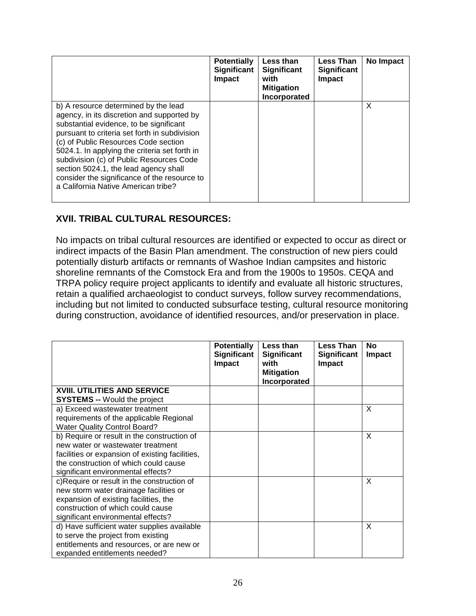|                                                                                                                                                                                                                                                                                                                                                                                                                                                     | <b>Potentially</b><br>Significant<br><b>Impact</b> | Less than<br><b>Significant</b><br>with<br><b>Mitigation</b><br>Incorporated | <b>Less Than</b><br><b>Significant</b><br><b>Impact</b> | No Impact |
|-----------------------------------------------------------------------------------------------------------------------------------------------------------------------------------------------------------------------------------------------------------------------------------------------------------------------------------------------------------------------------------------------------------------------------------------------------|----------------------------------------------------|------------------------------------------------------------------------------|---------------------------------------------------------|-----------|
| b) A resource determined by the lead<br>agency, in its discretion and supported by<br>substantial evidence, to be significant<br>pursuant to criteria set forth in subdivision<br>(c) of Public Resources Code section<br>5024.1. In applying the criteria set forth in<br>subdivision (c) of Public Resources Code<br>section 5024.1, the lead agency shall<br>consider the significance of the resource to<br>a California Native American tribe? |                                                    |                                                                              |                                                         | X         |

#### **XVII. TRIBAL CULTURAL RESOURCES:**

No impacts on tribal cultural resources are identified or expected to occur as direct or indirect impacts of the Basin Plan amendment. The construction of new piers could potentially disturb artifacts or remnants of Washoe Indian campsites and historic shoreline remnants of the Comstock Era and from the 1900s to 1950s. CEQA and TRPA policy require project applicants to identify and evaluate all historic structures, retain a qualified archaeologist to conduct surveys, follow survey recommendations, including but not limited to conducted subsurface testing, cultural resource monitoring during construction, avoidance of identified resources, and/or preservation in place.

|                                                                                                                                                                                                                    | <b>Potentially</b><br><b>Significant</b><br>Impact | Less than<br><b>Significant</b><br>with<br><b>Mitigation</b> | <b>Less Than</b><br><b>Significant</b><br>Impact | <b>No</b><br><b>Impact</b> |
|--------------------------------------------------------------------------------------------------------------------------------------------------------------------------------------------------------------------|----------------------------------------------------|--------------------------------------------------------------|--------------------------------------------------|----------------------------|
| <b>XVIII. UTILITIES AND SERVICE</b>                                                                                                                                                                                |                                                    | Incorporated                                                 |                                                  |                            |
| <b>SYSTEMS -- Would the project</b>                                                                                                                                                                                |                                                    |                                                              |                                                  |                            |
| a) Exceed wastewater treatment<br>requirements of the applicable Regional<br><b>Water Quality Control Board?</b>                                                                                                   |                                                    |                                                              |                                                  | X                          |
| b) Require or result in the construction of<br>new water or wastewater treatment<br>facilities or expansion of existing facilities,<br>the construction of which could cause<br>significant environmental effects? |                                                    |                                                              |                                                  | X                          |
| c)Require or result in the construction of<br>new storm water drainage facilities or<br>expansion of existing facilities, the<br>construction of which could cause<br>significant environmental effects?           |                                                    |                                                              |                                                  | $\mathsf{x}$               |
| d) Have sufficient water supplies available<br>to serve the project from existing<br>entitlements and resources, or are new or<br>expanded entitlements needed?                                                    |                                                    |                                                              |                                                  | X                          |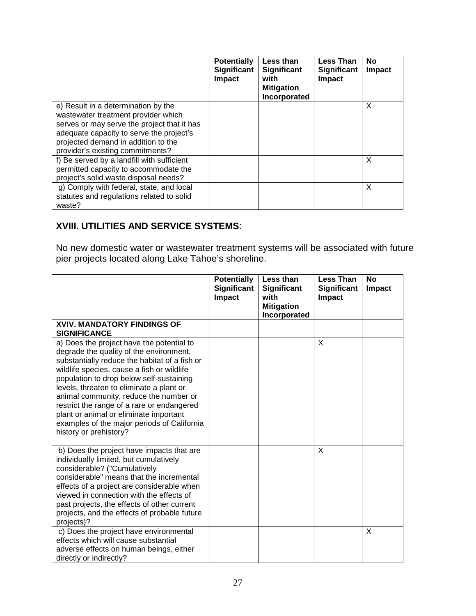|                                             | <b>Potentially</b><br><b>Significant</b><br><b>Impact</b> | Less than<br>Significant<br>with<br><b>Mitigation</b><br>Incorporated | <b>Less Than</b><br><b>Significant</b><br>Impact | No<br>Impact |
|---------------------------------------------|-----------------------------------------------------------|-----------------------------------------------------------------------|--------------------------------------------------|--------------|
| e) Result in a determination by the         |                                                           |                                                                       |                                                  | X            |
| wastewater treatment provider which         |                                                           |                                                                       |                                                  |              |
| serves or may serve the project that it has |                                                           |                                                                       |                                                  |              |
| adequate capacity to serve the project's    |                                                           |                                                                       |                                                  |              |
| projected demand in addition to the         |                                                           |                                                                       |                                                  |              |
| provider's existing commitments?            |                                                           |                                                                       |                                                  |              |
| f) Be served by a landfill with sufficient  |                                                           |                                                                       |                                                  | X            |
| permitted capacity to accommodate the       |                                                           |                                                                       |                                                  |              |
| project's solid waste disposal needs?       |                                                           |                                                                       |                                                  |              |
| g) Comply with federal, state, and local    |                                                           |                                                                       |                                                  | X            |
| statutes and regulations related to solid   |                                                           |                                                                       |                                                  |              |
| waste?                                      |                                                           |                                                                       |                                                  |              |

### **XVIII. UTILITIES AND SERVICE SYSTEMS**:

No new domestic water or wastewater treatment systems will be associated with future pier projects located along Lake Tahoe's shoreline.

|                                                                                                                                                                                                                                                                                                                                                                                                                                                                                        | <b>Potentially</b><br><b>Significant</b><br><b>Impact</b> | Less than<br><b>Significant</b><br>with<br><b>Mitigation</b><br>Incorporated | <b>Less Than</b><br><b>Significant</b><br><b>Impact</b> | <b>No</b><br>Impact |
|----------------------------------------------------------------------------------------------------------------------------------------------------------------------------------------------------------------------------------------------------------------------------------------------------------------------------------------------------------------------------------------------------------------------------------------------------------------------------------------|-----------------------------------------------------------|------------------------------------------------------------------------------|---------------------------------------------------------|---------------------|
| <b>XVIV. MANDATORY FINDINGS OF</b><br><b>SIGNIFICANCE</b>                                                                                                                                                                                                                                                                                                                                                                                                                              |                                                           |                                                                              |                                                         |                     |
| a) Does the project have the potential to<br>degrade the quality of the environment,<br>substantially reduce the habitat of a fish or<br>wildlife species, cause a fish or wildlife<br>population to drop below self-sustaining<br>levels, threaten to eliminate a plant or<br>animal community, reduce the number or<br>restrict the range of a rare or endangered<br>plant or animal or eliminate important<br>examples of the major periods of California<br>history or prehistory? |                                                           |                                                                              | X                                                       |                     |
| b) Does the project have impacts that are<br>individually limited, but cumulatively<br>considerable? ("Cumulatively<br>considerable" means that the incremental<br>effects of a project are considerable when<br>viewed in connection with the effects of<br>past projects, the effects of other current<br>projects, and the effects of probable future<br>projects)?                                                                                                                 |                                                           |                                                                              | X                                                       |                     |
| c) Does the project have environmental<br>effects which will cause substantial<br>adverse effects on human beings, either<br>directly or indirectly?                                                                                                                                                                                                                                                                                                                                   |                                                           |                                                                              |                                                         | X                   |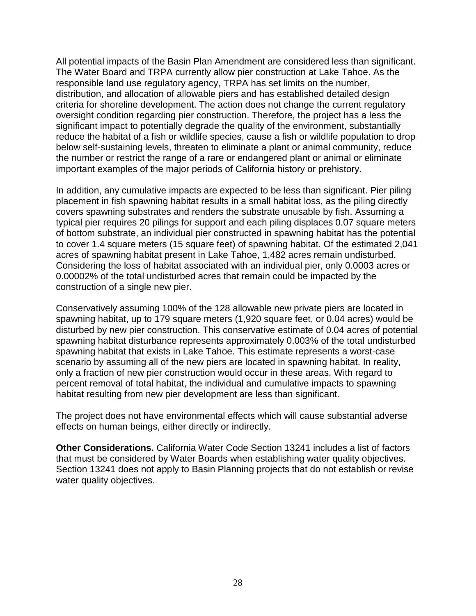All potential impacts of the Basin Plan Amendment are considered less than significant. The Water Board and TRPA currently allow pier construction at Lake Tahoe. As the responsible land use regulatory agency, TRPA has set limits on the number, distribution, and allocation of allowable piers and has established detailed design criteria for shoreline development. The action does not change the current regulatory oversight condition regarding pier construction. Therefore, the project has a less the significant impact to potentially degrade the quality of the environment, substantially reduce the habitat of a fish or wildlife species, cause a fish or wildlife population to drop below self-sustaining levels, threaten to eliminate a plant or animal community, reduce the number or restrict the range of a rare or endangered plant or animal or eliminate important examples of the major periods of California history or prehistory.

In addition, any cumulative impacts are expected to be less than significant. Pier piling placement in fish spawning habitat results in a small habitat loss, as the piling directly covers spawning substrates and renders the substrate unusable by fish. Assuming a typical pier requires 20 pilings for support and each piling displaces 0.07 square meters of bottom substrate, an individual pier constructed in spawning habitat has the potential to cover 1.4 square meters (15 square feet) of spawning habitat. Of the estimated 2,041 acres of spawning habitat present in Lake Tahoe, 1,482 acres remain undisturbed. Considering the loss of habitat associated with an individual pier, only 0.0003 acres or 0.00002% of the total undisturbed acres that remain could be impacted by the construction of a single new pier.

Conservatively assuming 100% of the 128 allowable new private piers are located in spawning habitat, up to 179 square meters (1,920 square feet, or 0.04 acres) would be disturbed by new pier construction. This conservative estimate of 0.04 acres of potential spawning habitat disturbance represents approximately 0.003% of the total undisturbed spawning habitat that exists in Lake Tahoe. This estimate represents a worst-case scenario by assuming all of the new piers are located in spawning habitat. In reality, only a fraction of new pier construction would occur in these areas. With regard to percent removal of total habitat, the individual and cumulative impacts to spawning habitat resulting from new pier development are less than significant.

The project does not have environmental effects which will cause substantial adverse effects on human beings, either directly or indirectly.

**Other Considerations.** California Water Code Section 13241 includes a list of factors that must be considered by Water Boards when establishing water quality objectives. Section 13241 does not apply to Basin Planning projects that do not establish or revise water quality objectives.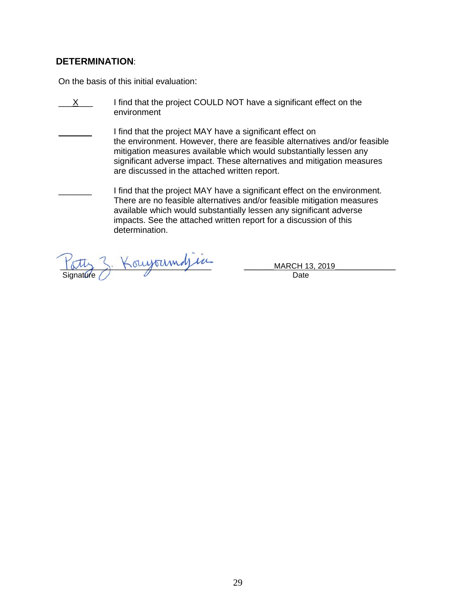#### **DETERMINATION**:

On the basis of this initial evaluation:

- $\overline{X}$  I find that the project COULD NOT have a significant effect on the environment
	- I find that the project MAY have a significant effect on the environment. However, there are feasible alternatives and/or feasible mitigation measures available which would substantially lessen any significant adverse impact. These alternatives and mitigation measures are discussed in the attached written report.
	- I find that the project MAY have a significant effect on the environment. There are no feasible alternatives and/or feasible mitigation measures available which would substantially lessen any significant adverse impacts. See the attached written report for a discussion of this determination.

\_\_\_\_\_\_\_\_\_\_\_\_\_\_\_\_\_\_\_\_\_\_\_\_\_\_\_\_\_\_\_\_\_\_\_ \_\_\_\_\_\_\_MARCH 13, 2019\_\_\_\_\_\_\_\_\_\_\_\_\_\_ Signature Date **Date**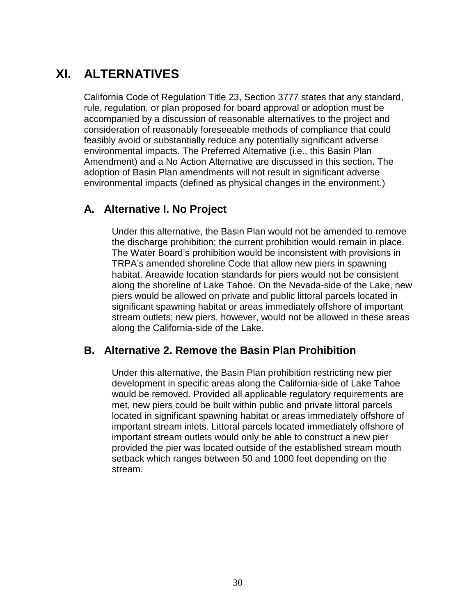## **XI. ALTERNATIVES**

California Code of Regulation Title 23, Section 3777 states that any standard, rule, regulation, or plan proposed for board approval or adoption must be accompanied by a discussion of reasonable alternatives to the project and consideration of reasonably foreseeable methods of compliance that could feasibly avoid or substantially reduce any potentially significant adverse environmental impacts. The Preferred Alternative (i.e., this Basin Plan Amendment) and a No Action Alternative are discussed in this section. The adoption of Basin Plan amendments will not result in significant adverse environmental impacts (defined as physical changes in the environment.)

## **A. Alternative I. No Project**

Under this alternative, the Basin Plan would not be amended to remove the discharge prohibition; the current prohibition would remain in place. The Water Board's prohibition would be inconsistent with provisions in TRPA's amended shoreline Code that allow new piers in spawning habitat. Areawide location standards for piers would not be consistent along the shoreline of Lake Tahoe. On the Nevada-side of the Lake, new piers would be allowed on private and public littoral parcels located in significant spawning habitat or areas immediately offshore of important stream outlets; new piers, however, would not be allowed in these areas along the California-side of the Lake.

## **B. Alternative 2. Remove the Basin Plan Prohibition**

Under this alternative, the Basin Plan prohibition restricting new pier development in specific areas along the California-side of Lake Tahoe would be removed. Provided all applicable regulatory requirements are met, new piers could be built within public and private littoral parcels located in significant spawning habitat or areas immediately offshore of important stream inlets. Littoral parcels located immediately offshore of important stream outlets would only be able to construct a new pier provided the pier was located outside of the established stream mouth setback which ranges between 50 and 1000 feet depending on the stream.